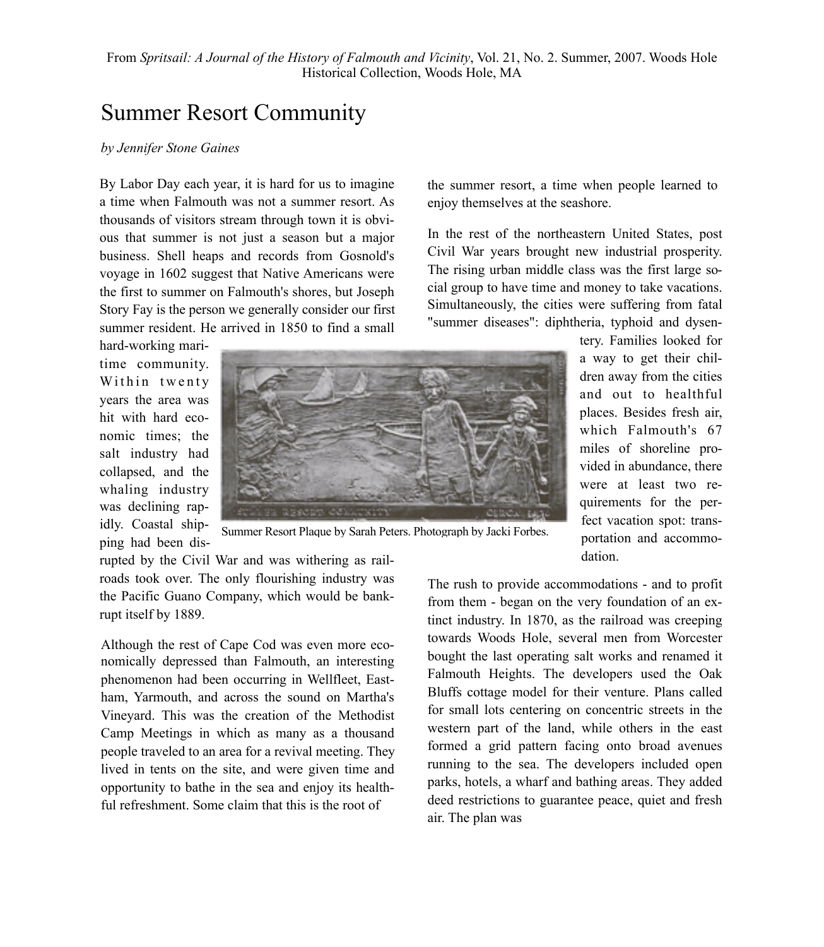## Summer Resort Community

## *by Jennifer Stone Gaines*

By Labor Day each year, it is hard for us to imagine a time when Falmouth was not a summer resort. As thousands of visitors stream through town it is obvious that summer is not just a season but a major business. Shell heaps and records from Gosnold's voyage in 1602 suggest that Native Americans were the first to summer on Falmouth's shores, but Joseph Story Fay is the person we generally consider our first summer resident. He arrived in 1850 to find a small

hard-working maritime community. Within twenty years the area was hit with hard economic times; the salt industry had collapsed, and the whaling industry was declining rapidly. Coastal shipping had been dis-



Summer Resort Plaque by Sarah Peters. Photograph by Jacki Forbes.

rupted by the Civil War and was withering as railroads took over. The only flourishing industry was the Pacific Guano Company, which would be bankrupt itself by 1889.

Although the rest of Cape Cod was even more economically depressed than Falmouth, an interesting phenomenon had been occurring in Wellfleet, Eastham, Yarmouth, and across the sound on Martha's Vineyard. This was the creation of the Methodist Camp Meetings in which as many as a thousand people traveled to an area for a revival meeting. They lived in tents on the site, and were given time and opportunity to bathe in the sea and enjoy its healthful refreshment. Some claim that this is the root of

the summer resort, a time when people learned to enjoy themselves at the seashore.

In the rest of the northeastern United States, post Civil War years brought new industrial prosperity. The rising urban middle class was the first large social group to have time and money to take vacations. Simultaneously, the cities were suffering from fatal "summer diseases": diphtheria, typhoid and dysen-

> tery. Families looked for a way to get their children away from the cities and out to healthful places. Besides fresh air, which Falmouth's 67 miles of shoreline provided in abundance, there were at least two requirements for the perfect vacation spot: transportation and accommodation.

The rush to provide accommodations - and to profit from them - began on the very foundation of an extinct industry. In 1870, as the railroad was creeping towards Woods Hole, several men from Worcester bought the last operating salt works and renamed it Falmouth Heights. The developers used the Oak Bluffs cottage model for their venture. Plans called for small lots centering on concentric streets in the western part of the land, while others in the east formed a grid pattern facing onto broad avenues running to the sea. The developers included open parks, hotels, a wharf and bathing areas. They added deed restrictions to guarantee peace, quiet and fresh air. The plan was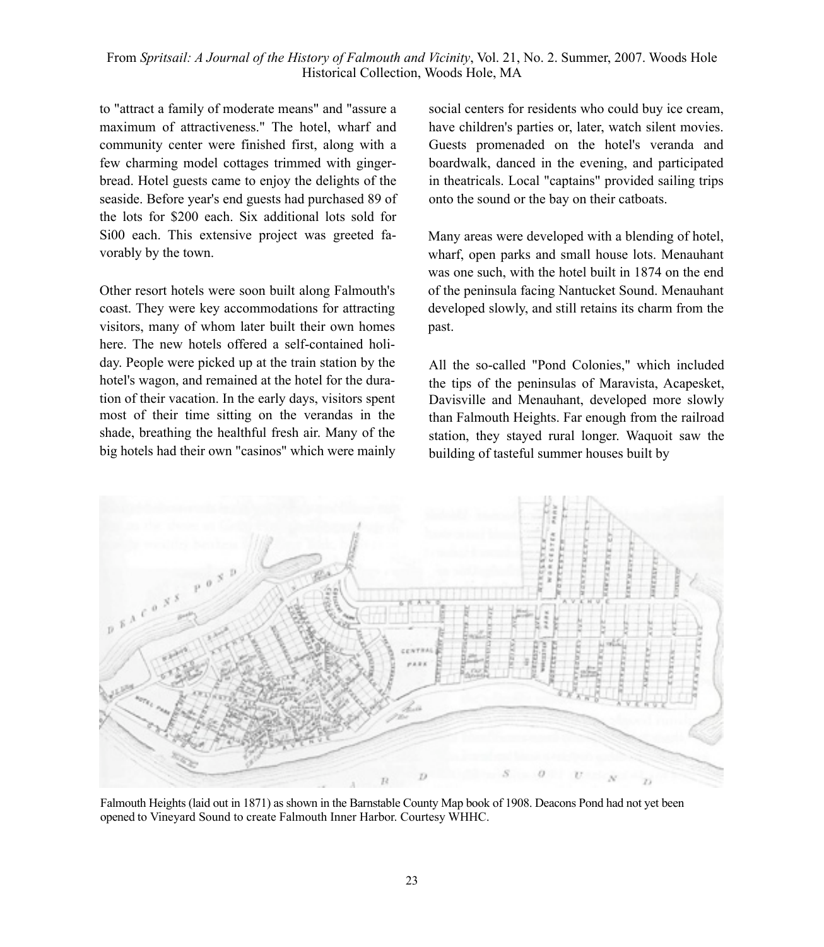to "attract a family of moderate means" and "assure a maximum of attractiveness." The hotel, wharf and community center were finished first, along with a few charming model cottages trimmed with gingerbread. Hotel guests came to enjoy the delights of the seaside. Before year's end guests had purchased 89 of the lots for \$200 each. Six additional lots sold for Si00 each. This extensive project was greeted favorably by the town.

Other resort hotels were soon built along Falmouth's coast. They were key accommodations for attracting visitors, many of whom later built their own homes here. The new hotels offered a self-contained holiday. People were picked up at the train station by the hotel's wagon, and remained at the hotel for the duration of their vacation. In the early days, visitors spent most of their time sitting on the verandas in the shade, breathing the healthful fresh air. Many of the big hotels had their own "casinos" which were mainly social centers for residents who could buy ice cream, have children's parties or, later, watch silent movies. Guests promenaded on the hotel's veranda and boardwalk, danced in the evening, and participated in theatricals. Local "captains" provided sailing trips onto the sound or the bay on their catboats.

Many areas were developed with a blending of hotel, wharf, open parks and small house lots. Menauhant was one such, with the hotel built in 1874 on the end of the peninsula facing Nantucket Sound. Menauhant developed slowly, and still retains its charm from the past.

All the so-called "Pond Colonies," which included the tips of the peninsulas of Maravista, Acapesket, Davisville and Menauhant, developed more slowly than Falmouth Heights. Far enough from the railroad station, they stayed rural longer. Waquoit saw the building of tasteful summer houses built by



Falmouth Heights (laid out in 1871) as shown in the Barnstable County Map book of 1908. Deacons Pond had not yet been opened to Vineyard Sound to create Falmouth Inner Harbor. Courtesy WHHC.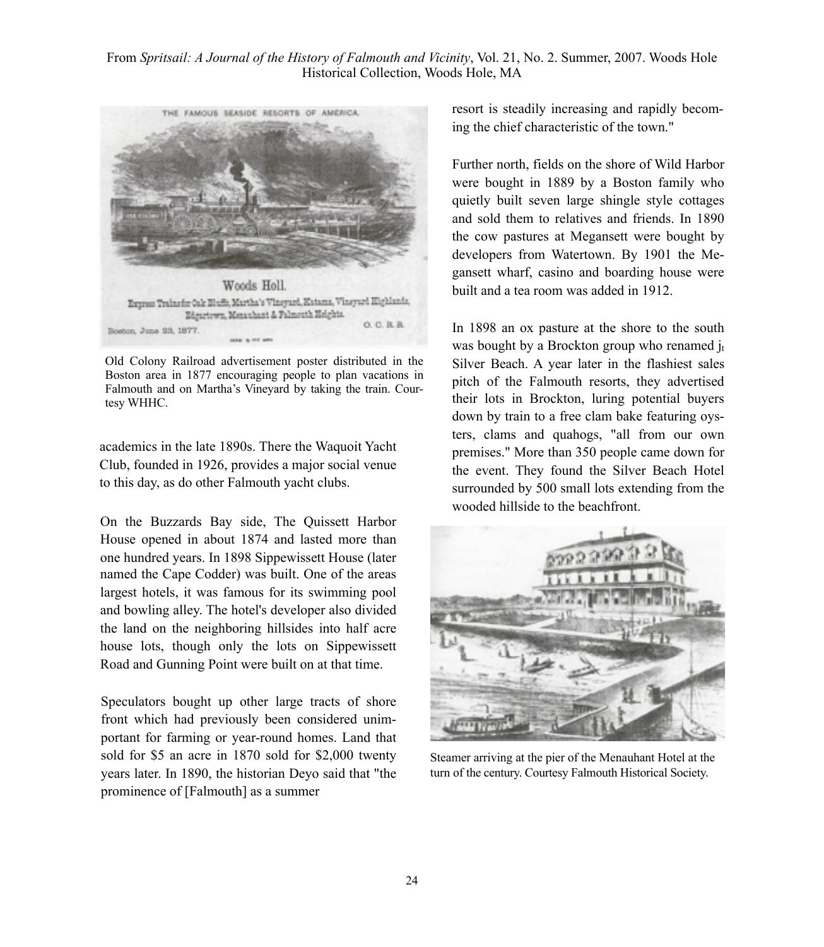

Old Colony Railroad advertisement poster distributed in the Boston area in 1877 encouraging people to plan vacations in Falmouth and on Martha's Vineyard by taking the train. Courtesy WHHC.

academics in the late 1890s. There the Waquoit Yacht Club, founded in 1926, provides a major social venue to this day, as do other Falmouth yacht clubs.

On the Buzzards Bay side, The Quissett Harbor House opened in about 1874 and lasted more than one hundred years. In 1898 Sippewissett House (later named the Cape Codder) was built. One of the areas largest hotels, it was famous for its swimming pool and bowling alley. The hotel's developer also divided the land on the neighboring hillsides into half acre house lots, though only the lots on Sippewissett Road and Gunning Point were built on at that time.

Speculators bought up other large tracts of shore front which had previously been considered unimportant for farming or year-round homes. Land that sold for \$5 an acre in 1870 sold for \$2,000 twenty years later. In 1890, the historian Deyo said that "the prominence of [Falmouth] as a summer

resort is steadily increasing and rapidly becoming the chief characteristic of the town."

Further north, fields on the shore of Wild Harbor were bought in 1889 by a Boston family who quietly built seven large shingle style cottages and sold them to relatives and friends. In 1890 the cow pastures at Megansett were bought by developers from Watertown. By 1901 the Megansett wharf, casino and boarding house were built and a tea room was added in 1912.

In 1898 an ox pasture at the shore to the south was bought by a Brockton group who renamed  $i_t$ Silver Beach. A year later in the flashiest sales pitch of the Falmouth resorts, they advertised their lots in Brockton, luring potential buyers down by train to a free clam bake featuring oysters, clams and quahogs, "all from our own premises." More than 350 people came down for the event. They found the Silver Beach Hotel surrounded by 500 small lots extending from the wooded hillside to the beachfront.



Steamer arriving at the pier of the Menauhant Hotel at the turn of the century. Courtesy Falmouth Historical Society.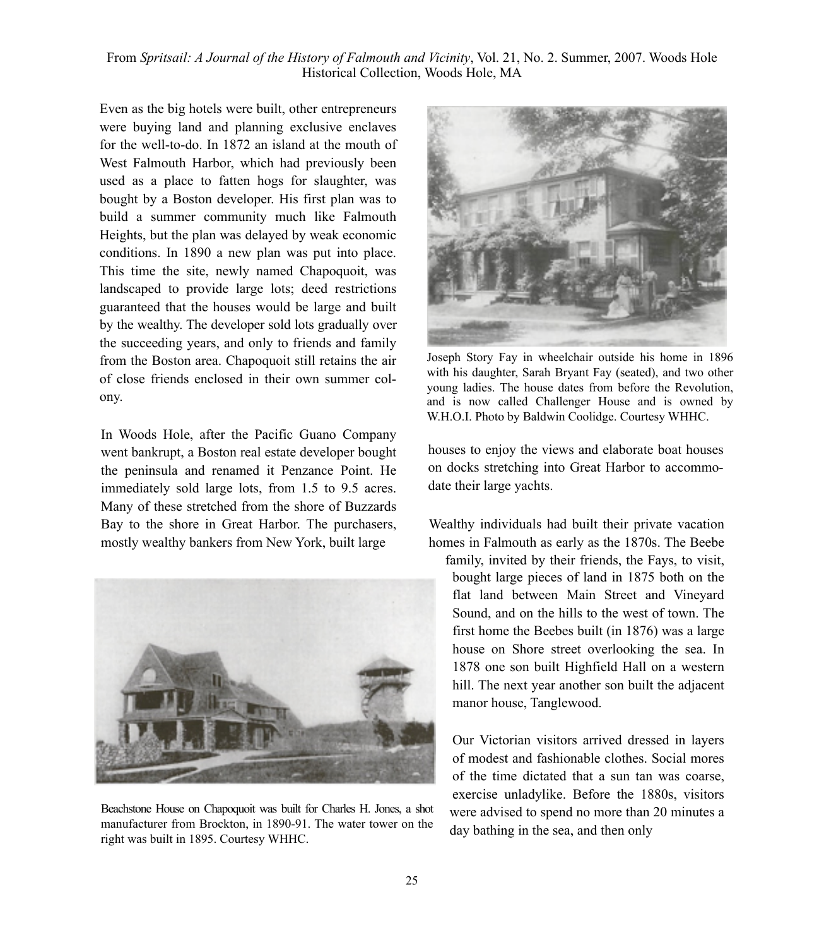Even as the big hotels were built, other entrepreneurs were buying land and planning exclusive enclaves for the well-to-do. In 1872 an island at the mouth of West Falmouth Harbor, which had previously been used as a place to fatten hogs for slaughter, was bought by a Boston developer. His first plan was to build a summer community much like Falmouth Heights, but the plan was delayed by weak economic conditions. In 1890 a new plan was put into place. This time the site, newly named Chapoquoit, was landscaped to provide large lots; deed restrictions guaranteed that the houses would be large and built by the wealthy. The developer sold lots gradually over the succeeding years, and only to friends and family from the Boston area. Chapoquoit still retains the air of close friends enclosed in their own summer colony.

In Woods Hole, after the Pacific Guano Company went bankrupt, a Boston real estate developer bought the peninsula and renamed it Penzance Point. He immediately sold large lots, from 1.5 to 9.5 acres. Many of these stretched from the shore of Buzzards Bay to the shore in Great Harbor. The purchasers, mostly wealthy bankers from New York, built large



Beachstone House on Chapoquoit was built for Charles H. Jones, a shot manufacturer from Brockton, in 1890-91. The water tower on the right was built in 1895. Courtesy WHHC.



Joseph Story Fay in wheelchair outside his home in 1896 with his daughter, Sarah Bryant Fay (seated), and two other young ladies. The house dates from before the Revolution, and is now called Challenger House and is owned by W.H.O.I. Photo by Baldwin Coolidge. Courtesy WHHC.

houses to enjoy the views and elaborate boat houses on docks stretching into Great Harbor to accommodate their large yachts.

Wealthy individuals had built their private vacation homes in Falmouth as early as the 1870s. The Beebe

family, invited by their friends, the Fays, to visit, bought large pieces of land in 1875 both on the flat land between Main Street and Vineyard Sound, and on the hills to the west of town. The first home the Beebes built (in 1876) was a large house on Shore street overlooking the sea. In 1878 one son built Highfield Hall on a western hill. The next year another son built the adjacent manor house, Tanglewood.

Our Victorian visitors arrived dressed in layers of modest and fashionable clothes. Social mores of the time dictated that a sun tan was coarse, exercise unladylike. Before the 1880s, visitors were advised to spend no more than 20 minutes a day bathing in the sea, and then only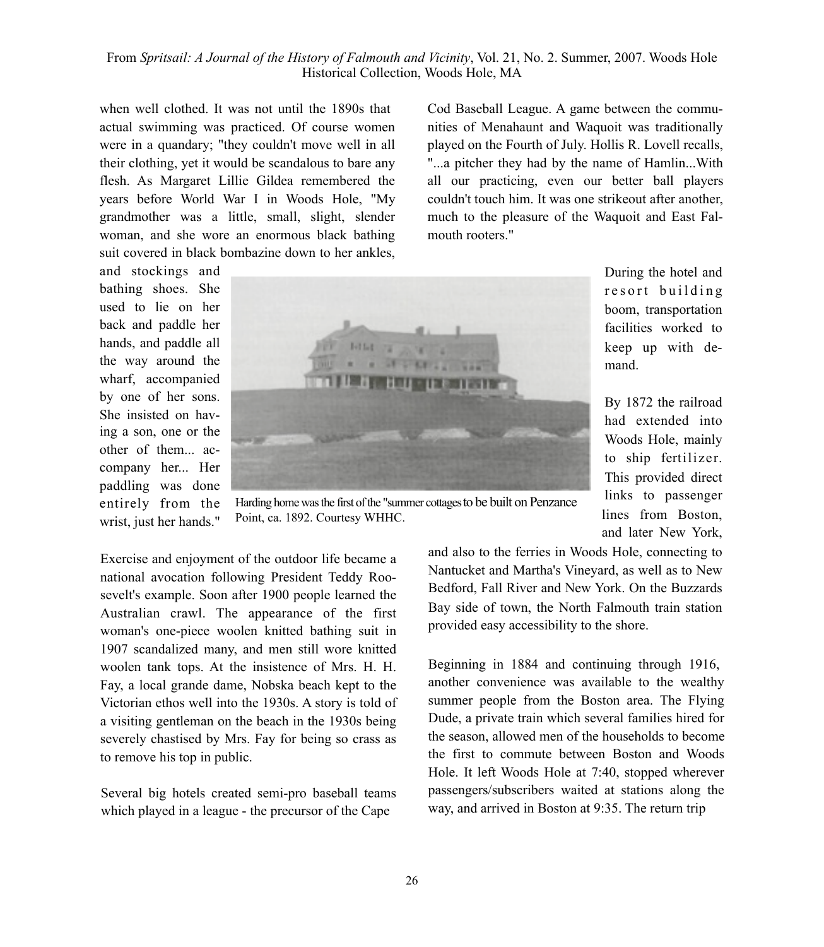when well clothed. It was not until the 1890s that actual swimming was practiced. Of course women were in a quandary; "they couldn't move well in all their clothing, yet it would be scandalous to bare any flesh. As Margaret Lillie Gildea remembered the years before World War I in Woods Hole, "My grandmother was a little, small, slight, slender woman, and she wore an enormous black bathing suit covered in black bombazine down to her ankles,

and stockings and bathing shoes. She used to lie on her back and paddle her hands, and paddle all the way around the wharf, accompanied by one of her sons. She insisted on having a son, one or the other of them... accompany her... Her paddling was done entirely from the wrist, just her hands."

"...a pitcher they had by the name of Hamlin...With all our practicing, even our better ball players couldn't touch him. It was one strikeout after another, much to the pleasure of the Waquoit and East Falmouth rooters." During the hotel and

Cod Baseball League. A game between the communities of Menahaunt and Waquoit was traditionally played on the Fourth of July. Hollis R. Lovell recalls,

> resort building boom, transportation facilities worked to keep up with demand.

By 1872 the railroad had extended into Woods Hole, mainly to ship fertilizer. This provided direct links to passenger lines from Boston, and later New York,

and also to the ferries in Woods Hole, connecting to Nantucket and Martha's Vineyard, as well as to New Bedford, Fall River and New York. On the Buzzards Bay side of town, the North Falmouth train station provided easy accessibility to the shore.

Beginning in 1884 and continuing through 1916, another convenience was available to the wealthy summer people from the Boston area. The Flying Dude, a private train which several families hired for the season, allowed men of the households to become the first to commute between Boston and Woods Hole. It left Woods Hole at 7:40, stopped wherever passengers/subscribers waited at stations along the way, and arrived in Boston at 9:35. The return trip

Harding home was the first of the "summer cottages to be built on Penzance Point, ca. 1892. Courtesy WHHC.

Australian crawl. The appearance of the first woman's one-piece woolen knitted bathing suit in 1907 scandalized many, and men still wore knitted woolen tank tops. At the insistence of Mrs. H. H. Fay, a local grande dame, Nobska beach kept to the Victorian ethos well into the 1930s. A story is told of a visiting gentleman on the beach in the 1930s being severely chastised by Mrs. Fay for being so crass as to remove his top in public.

Exercise and enjoyment of the outdoor life became a national avocation following President Teddy Roosevelt's example. Soon after 1900 people learned the

Several big hotels created semi-pro baseball teams which played in a league - the precursor of the Cape